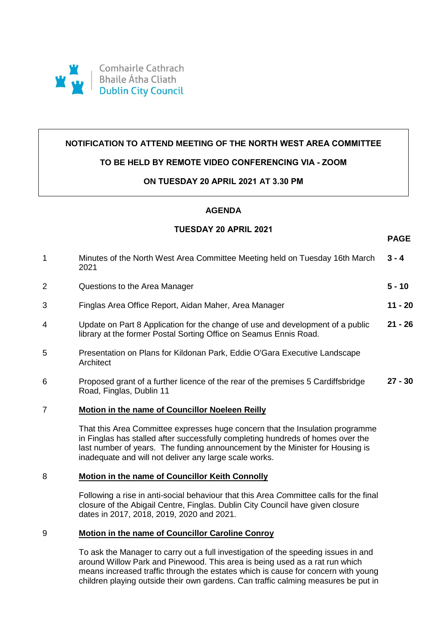

# **NOTIFICATION TO ATTEND MEETING OF THE NORTH WEST AREA COMMITTEE**

# **TO BE HELD BY REMOTE VIDEO CONFERENCING VIA - ZOOM**

# **ON TUESDAY 20 APRIL 2021 AT 3.30 PM**

#### **AGENDA**

#### **TUESDAY 20 APRIL 2021**

**PAGE**

| $\mathbf 1$    | Minutes of the North West Area Committee Meeting held on Tuesday 16th March<br>2021                                                                 | $3 - 4$   |
|----------------|-----------------------------------------------------------------------------------------------------------------------------------------------------|-----------|
| 2              | Questions to the Area Manager                                                                                                                       | 5 - 10    |
| 3              | Finglas Area Office Report, Aidan Maher, Area Manager                                                                                               | 11 - 20   |
| 4              | Update on Part 8 Application for the change of use and development of a public<br>library at the former Postal Sorting Office on Seamus Ennis Road. | $21 - 26$ |
| 5              | Presentation on Plans for Kildonan Park, Eddie O'Gara Executive Landscape<br>Architect                                                              |           |
| 6              | Proposed grant of a further licence of the rear of the premises 5 Cardiffsbridge<br>Road, Finglas, Dublin 11                                        | $27 - 30$ |
| $\overline{7}$ | Motion in the name of Councillor Noeleen Reilly                                                                                                     |           |
|                | That this Area Committee expresses huge concern that the Insulation programme                                                                       |           |

That this Area Committee expresses huge concern that the Insulation programme in Finglas has stalled after successfully completing hundreds of homes over the last number of years. The funding announcement by the Minister for Housing is inadequate and will not deliver any large scale works.

# 8 **Motion in the name of Councillor Keith Connolly**

Following a rise in anti-social behaviour that this Area *Co*mmittee calls for the final closure of the Abigail Centre, Finglas. Dublin City Council have given closure dates in 2017, 2018, 2019, 2020 and 2021.

# 9 **Motion in the name of Councillor Caroline Conroy**

To ask the Manager to carry out a full investigation of the speeding issues in and around Willow Park and Pinewood. This area is being used as a rat run which means increased traffic through the estates which is cause for concern with young children playing outside their own gardens. Can traffic calming measures be put in